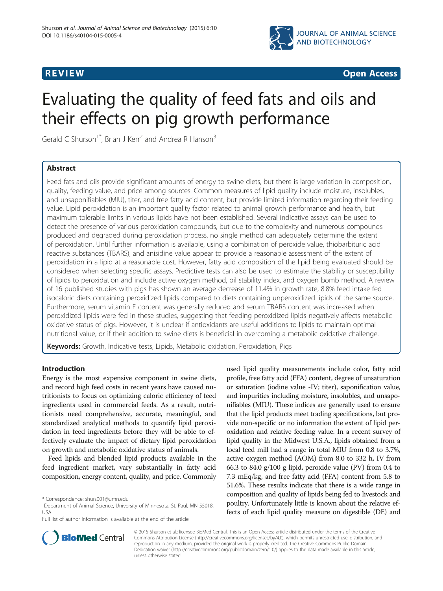

**REVIEW REVIEW CONSTRUCTION** 

# Evaluating the quality of feed fats and oils and their effects on pig growth performance

Gerald C Shurson<sup>1\*</sup>, Brian J Kerr<sup>2</sup> and Andrea R Hanson<sup>3</sup>

# Abstract

Feed fats and oils provide significant amounts of energy to swine diets, but there is large variation in composition, quality, feeding value, and price among sources. Common measures of lipid quality include moisture, insolubles, and unsaponifiables (MIU), titer, and free fatty acid content, but provide limited information regarding their feeding value. Lipid peroxidation is an important quality factor related to animal growth performance and health, but maximum tolerable limits in various lipids have not been established. Several indicative assays can be used to detect the presence of various peroxidation compounds, but due to the complexity and numerous compounds produced and degraded during peroxidation process, no single method can adequately determine the extent of peroxidation. Until further information is available, using a combination of peroxide value, thiobarbituric acid reactive substances (TBARS), and anisidine value appear to provide a reasonable assessment of the extent of peroxidation in a lipid at a reasonable cost. However, fatty acid composition of the lipid being evaluated should be considered when selecting specific assays. Predictive tests can also be used to estimate the stability or susceptibility of lipids to peroxidation and include active oxygen method, oil stability index, and oxygen bomb method. A review of 16 published studies with pigs has shown an average decrease of 11.4% in growth rate, 8.8% feed intake fed isocaloric diets containing peroxidized lipids compared to diets containing unperoxidized lipids of the same source. Furthermore, serum vitamin E content was generally reduced and serum TBARS content was increased when peroxidized lipids were fed in these studies, suggesting that feeding peroxidized lipids negatively affects metabolic oxidative status of pigs. However, it is unclear if antioxidants are useful additions to lipids to maintain optimal nutritional value, or if their addition to swine diets is beneficial in overcoming a metabolic oxidative challenge.

Keywords: Growth, Indicative tests, Lipids, Metabolic oxidation, Peroxidation, Pigs

# Introduction

Energy is the most expensive component in swine diets, and record high feed costs in recent years have caused nutritionists to focus on optimizing caloric efficiency of feed ingredients used in commercial feeds. As a result, nutritionists need comprehensive, accurate, meaningful, and standardized analytical methods to quantify lipid peroxidation in feed ingredients before they will be able to effectively evaluate the impact of dietary lipid peroxidation on growth and metabolic oxidative status of animals.

Feed lipids and blended lipid products available in the feed ingredient market, vary substantially in fatty acid composition, energy content, quality, and price. Commonly

used lipid quality measurements include color, fatty acid profile, free fatty acid (FFA) content, degree of unsaturation or saturation (iodine value -IV; titer), saponification value, and impurities including moisture, insolubles, and unsaponifiables (MIU). These indices are generally used to ensure that the lipid products meet trading specifications, but provide non-specific or no information the extent of lipid peroxidation and relative feeding value. In a recent survey of lipid quality in the Midwest U.S.A., lipids obtained from a local feed mill had a range in total MIU from 0.8 to 3.7%, active oxygen method (AOM) from 8.0 to 332 h, IV from 66.3 to 84.0 g/100 g lipid, peroxide value (PV) from 0.4 to 7.3 mEq/kg, and free fatty acid (FFA) content from 5.8 to 51.6%. These results indicate that there is a wide range in composition and quality of lipids being fed to livestock and poultry. Unfortunately little is known about the relative effects of each lipid quality measure on digestible (DE) and



© 2015 Shurson et al.; licensee BioMed Central. This is an Open Access article distributed under the terms of the Creative Commons Attribution License [\(http://creativecommons.org/licenses/by/4.0\)](http://creativecommons.org/licenses/by/4.0), which permits unrestricted use, distribution, and reproduction in any medium, provided the original work is properly credited. The Creative Commons Public Domain Dedication waiver [\(http://creativecommons.org/publicdomain/zero/1.0/](http://creativecommons.org/publicdomain/zero/1.0/)) applies to the data made available in this article, unless otherwise stated.

<sup>\*</sup> Correspondence: [shurs001@umn.edu](mailto:shurs001@umn.edu) <sup>1</sup>

<sup>&</sup>lt;sup>1</sup>Department of Animal Science, University of Minnesota, St. Paul, MN 55018, USA

Full list of author information is available at the end of the article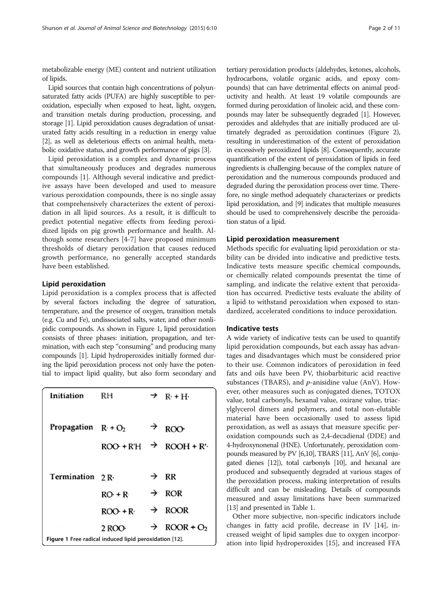metabolizable energy (ME) content and nutrient utilization of lipids.

Lipid sources that contain high concentrations of polyunsaturated fatty acids (PUFA) are highly susceptible to peroxidation, especially when exposed to heat, light, oxygen, and transition metals during production, processing, and storage [[1](#page-8-0)]. Lipid peroxidation causes degradation of unsaturated fatty acids resulting in a reduction in energy value [[2](#page-8-0)], as well as deleterious effects on animal health, metabolic oxidative status, and growth performance of pigs [\[3\]](#page-8-0).

Lipid peroxidation is a complex and dynamic process that simultaneously produces and degrades numerous compounds [[1\]](#page-8-0). Although several indicative and predictive assays have been developed and used to measure various peroxidation compounds, there is no single assay that comprehensively characterizes the extent of peroxidation in all lipid sources. As a result, it is difficult to predict potential negative effects from feeding peroxidized lipids on pig growth performance and health. Although some researchers [[4-7](#page-9-0)] have proposed minimum thresholds of dietary peroxidation that causes reduced growth performance, no generally accepted standards have been established.

#### Lipid peroxidation

Lipid peroxidation is a complex process that is affected by several factors including the degree of saturation, temperature, and the presence of oxygen, transition metals (e.g. Cu and Fe), undissociated salts, water, and other nonlipidic compounds. As shown in Figure 1, lipid peroxidation consists of three phases: initiation, propagation, and termination, with each step "consuming" and producing many compounds [\[1\]](#page-8-0). Lipid hydroperoxides initially formed during the lipid peroxidation process not only have the potential to impact lipid quality, but also form secondary and

| Initiation                                             | RH      |   | $\rightarrow$ R. + H.               |  |  |  |  |  |  |  |  |
|--------------------------------------------------------|---------|---|-------------------------------------|--|--|--|--|--|--|--|--|
|                                                        |         |   |                                     |  |  |  |  |  |  |  |  |
| Propagation $R_1 + O_2$                                |         | → | ROO-                                |  |  |  |  |  |  |  |  |
|                                                        |         |   | $ROO + R'H \rightarrow ROOH + R'$   |  |  |  |  |  |  |  |  |
|                                                        |         |   |                                     |  |  |  |  |  |  |  |  |
| Termination 2R.                                        |         |   | $\rightarrow$ RR                    |  |  |  |  |  |  |  |  |
|                                                        | $RO+R$  |   | $\rightarrow$ ROR                   |  |  |  |  |  |  |  |  |
|                                                        | $ROO+R$ |   | $\rightarrow$ ROOR                  |  |  |  |  |  |  |  |  |
|                                                        | 2 ROO-  |   | $\rightarrow$ ROOR + O <sub>2</sub> |  |  |  |  |  |  |  |  |
| Figure 1 Free radical induced lipid peroxidation [12]. |         |   |                                     |  |  |  |  |  |  |  |  |

tertiary peroxidation products (aldehydes, ketones, alcohols, hydrocarbons, volatile organic acids, and epoxy compounds) that can have detrimental effects on animal productivity and health. At least 19 volatile compounds are formed during peroxidation of linoleic acid, and these compounds may later be subsequently degraded [\[1](#page-8-0)]. However, peroxides and aldehydes that are initially produced are ultimately degraded as peroxidation continues (Figure [2](#page-2-0)), resulting in underestimation of the extent of peroxidation in excessively peroxidized lipids [[8](#page-9-0)]. Consequently, accurate quantification of the extent of peroxidation of lipids in feed ingredients is challenging because of the complex nature of peroxidation and the numerous compounds produced and degraded during the peroxidation process over time. Therefore, no single method adequately characterizes or predicts lipid peroxidation, and [\[9\]](#page-9-0) indicates that multiple measures should be used to comprehensively describe the peroxidation status of a lipid.

#### Lipid peroxidation measurement

Methods specific for evaluating lipid peroxidation or stability can be divided into indicative and predictive tests. Indicative tests measure specific chemical compounds, or chemically related compounds presentat the time of sampling, and indicate the relative extent that peroxidation has occurred. Predictive tests evaluate the ability of a lipid to withstand peroxidation when exposed to standardized, accelerated conditions to induce peroxidation.

#### Indicative tests

A wide variety of indicative tests can be used to quantify lipid peroxidation compounds, but each assay has advantages and disadvantages which must be considered prior to their use. Common indicators of peroxidation in feed fats and oils have been PV, thiobarbituric acid reactive substances (TBARS), and  $p$ -anisidine value (AnV). However, other measures such as conjugated dienes, TOTOX value, total carbonyls, hexanal value, oxirane value, triacylglycerol dimers and polymers, and total non-elutable material have been occasionally used to assess lipid peroxidation, as well as assays that measure specific peroxidation compounds such as 2,4-decadienal (DDE) and 4-hydroxynonenal (HNE). Unfortunately, peroxidation compounds measured by PV [\[6,10](#page-9-0)], TBARS [\[11\]](#page-9-0), AnV [\[6](#page-9-0)], conjugated dienes [\[12](#page-9-0)]), total carbonyls [\[10](#page-9-0)], and hexanal are produced and subsequently degraded at various stages of the peroxidation process, making interpretation of results difficult and can be misleading. Details of compounds measured and assay limitations have been summarized [[13](#page-9-0)] and presented in Table [1.](#page-2-0)

Other more subjective, non-specific indicators include changes in fatty acid profile, decrease in IV [[14](#page-9-0)], increased weight of lipid samples due to oxygen incorpor-ation into lipid hydroperoxides [[15](#page-9-0)], and increased FFA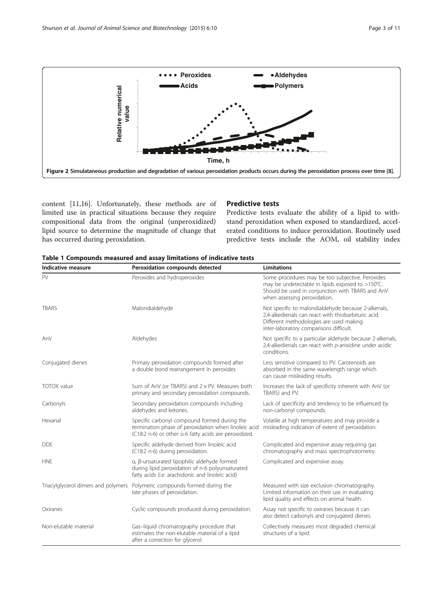<span id="page-2-0"></span>

content [\[11,16\]](#page-9-0). Unfortunately, these methods are of limited use in practical situations because they require compositional data from the original (unperoxidized) lipid source to determine the magnitude of change that has occurred during peroxidation.

### Predictive tests

Predictive tests evaluate the ability of a lipid to withstand peroxidation when exposed to standardized, accelerated conditions to induce peroxidation. Routinely used predictive tests include the AOM, oil stability index

| Indicative measure                  | Peroxidation compounds detected                                                                                                                               | <b>Limitations</b>                                                                                                                                                                               |
|-------------------------------------|---------------------------------------------------------------------------------------------------------------------------------------------------------------|--------------------------------------------------------------------------------------------------------------------------------------------------------------------------------------------------|
| <b>PV</b>                           | Peroxides and hydroperoxides                                                                                                                                  | Some procedures may be too subjective. Peroxides<br>may be undetectable in lipids exposed to >150°C.<br>Should be used in conjunction with TBARS and AnV<br>when assessing peroxidation.         |
| <b>TBARS</b>                        | Malondialdehyde                                                                                                                                               | Not specific to malondialdehyde because 2-alkenals,<br>2,4-alkedienals can react with thiobarbituric acid.<br>Different methodologies are used making<br>inter-laboratory comparisons difficult. |
| AnV                                 | Aldehydes                                                                                                                                                     | Not specific to a particular aldehyde because 2-alkenals,<br>2,4-alkedienals can react with $p$ -anisidine under acidic<br>conditions.                                                           |
| Conjugated dienes                   | Primary peroxidation compounds formed after<br>a double bond rearrangement in peroxides                                                                       | Less sensitive compared to PV. Carotenoids are<br>absorbed in the same wavelength range which<br>can cause misleading results.                                                                   |
| <b>TOTOX</b> value                  | Sum of AnV (or TBARS) and $2 \times PV$ . Measures both<br>primary and secondary peroxidation compounds.                                                      | Increases the lack of specificity inherent with AnV (or<br>TBARS) and PV.                                                                                                                        |
| Carbonyls                           | Secondary peroxidation compounds including<br>aldehydes and ketones.                                                                                          | Lack of specificity and tendency to be influenced by<br>non-carbonyl compounds.                                                                                                                  |
| Hexanal                             | Specific carbonyl compound formed during the<br>termination phase of peroxidation when linoleic acid<br>(C18:2 n-6) or other ù-6 fatty acids are peroxidized. | Volatile at high temperatures and may provide a<br>misleading indication of extent of peroxidation.                                                                                              |
| <b>DDF</b>                          | Specific aldehyde derived from linoleic acid<br>(C18:2 n-6) during peroxidation.                                                                              | Complicated and expensive assay requiring gas<br>chromatography and mass spectrophotometry.                                                                                                      |
| <b>HNE</b>                          | α, β-unsaturated lipophilic aldehyde formed<br>during lipid peroxidation of n-6 polyunsaturated<br>fatty acids (i.e. arachidonic and linoleic acid)           | Complicated and expensive assay.                                                                                                                                                                 |
| Triacylglycerol dimers and polymers | Polymeric compounds formed during the<br>late phases of peroxidation.                                                                                         | Measured with size exclusion chromatography.<br>Limited information on their use in evaluating<br>lipid quality and effects on animal health.                                                    |
| Oxiranes                            | Cyclic compounds produced during peroxidation.                                                                                                                | Assay not specific to oxiranes because it can<br>also detect carbonyls and conjugated dienes.                                                                                                    |
| Non-elutable material               | Gas-liquid chromatography procedure that<br>estimates the non-elutable material of a lipid<br>after a correction for glycerol.                                | Collectively measures most degraded chemical<br>structures of a lipid.                                                                                                                           |

Table 1 Compounds measured and assay limitations of indicative tests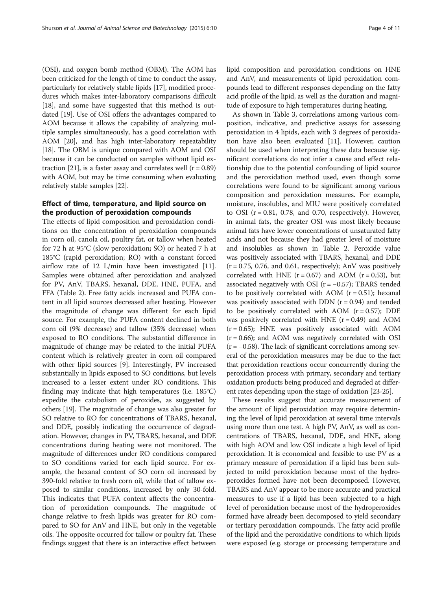(OSI), and oxygen bomb method (OBM). The AOM has been criticized for the length of time to conduct the assay, particularly for relatively stable lipids [\[17\]](#page-9-0), modified procedures which makes inter-laboratory comparisons difficult [[18](#page-9-0)], and some have suggested that this method is outdated [\[19\]](#page-9-0). Use of OSI offers the advantages compared to AOM because it allows the capability of analyzing multiple samples simultaneously, has a good correlation with AOM [\[20\]](#page-9-0), and has high inter-laboratory repeatability [[18](#page-9-0)]. The OBM is unique compared with AOM and OSI because it can be conducted on samples without lipid ex-

traction [\[21\]](#page-9-0), is a faster assay and correlates well  $(r = 0.89)$ with AOM, but may be time consuming when evaluating relatively stable samples [\[22\]](#page-9-0).

# Effect of time, temperature, and lipid source on the production of peroxidation compounds

The effects of lipid composition and peroxidation conditions on the concentration of peroxidation compounds in corn oil, canola oil, poultry fat, or tallow when heated for 72 h at 95°C (slow peroxidation; SO) or heated 7 h at 185°C (rapid peroxidation; RO) with a constant forced airflow rate of 12 L/min have been investigated [\[11](#page-9-0)]. Samples were obtained after peroxidation and analyzed for PV, AnV, TBARS, hexanal, DDE, HNE, PUFA, and FFA (Table [2](#page-4-0)). Free fatty acids increased and PUFA content in all lipid sources decreased after heating. However the magnitude of change was different for each lipid source. For example, the PUFA content declined in both corn oil (9% decrease) and tallow (35% decrease) when exposed to RO conditions. The substantial difference in magnitude of change may be related to the initial PUFA content which is relatively greater in corn oil compared with other lipid sources [\[9](#page-9-0)]. Interestingly, PV increased substantially in lipids exposed to SO conditions, but levels increased to a lesser extent under RO conditions. This finding may indicate that high temperatures (i.e. 185°C) expedite the catabolism of peroxides, as suggested by others [[19](#page-9-0)]. The magnitude of change was also greater for SO relative to RO for concentrations of TBARS, hexanal, and DDE, possibly indicating the occurrence of degradation. However, changes in PV, TBARS, hexanal, and DDE concentrations during heating were not monitored. The magnitude of differences under RO conditions compared to SO conditions varied for each lipid source. For example, the hexanal content of SO corn oil increased by 390-fold relative to fresh corn oil, while that of tallow exposed to similar conditions, increased by only 30-fold. This indicates that PUFA content affects the concentration of peroxidation compounds. The magnitude of change relative to fresh lipids was greater for RO compared to SO for AnV and HNE, but only in the vegetable oils. The opposite occurred for tallow or poultry fat. These findings suggest that there is an interactive effect between lipid composition and peroxidation conditions on HNE and AnV, and measurements of lipid peroxidation compounds lead to different responses depending on the fatty acid profile of the lipid, as well as the duration and magnitude of exposure to high temperatures during heating.

As shown in Table [3](#page-5-0), correlations among various composition, indicative, and predictive assays for assessing peroxidation in 4 lipids, each with 3 degrees of peroxidation have also been evaluated [[11\]](#page-9-0). However, caution should be used when interpreting these data because significant correlations do not infer a cause and effect relationship due to the potential confounding of lipid source and the peroxidation method used, even though some correlations were found to be significant among various composition and peroxidation measures. For example, moisture, insolubles, and MIU were positively correlated to OSI  $(r = 0.81, 0.78, and 0.70, respectively)$ . However, in animal fats, the greater OSI was most likely because animal fats have lower concentrations of unsaturated fatty acids and not because they had greater level of moisture and insolubles as shown in Table [2](#page-4-0). Peroxide value was positively associated with TBARS, hexanal, and DDE  $(r = 0.75, 0.76,$  and 0.61, respectively); AnV was positively correlated with HNE  $(r = 0.67)$  and AOM  $(r = 0.53)$ , but associated negatively with OSI ( $r = -0.57$ ); TBARS tended to be positively correlated with AOM  $(r = 0.51)$ ; hexanal was positively associated with DDN  $(r = 0.94)$  and tended to be positively correlated with AOM  $(r = 0.57)$ ; DDE was positively correlated with HNE  $(r = 0.49)$  and AOM  $(r = 0.65)$ ; HNE was positively associated with AOM  $(r = 0.66)$ ; and AOM was negatively correlated with OSI  $(r = -0.58)$ . The lack of significant correlations among several of the peroxidation measures may be due to the fact that peroxidation reactions occur concurrently during the peroxidation process with primary, secondary and tertiary oxidation products being produced and degraded at different rates depending upon the stage of oxidation [\[23-25\]](#page-9-0).

These results suggest that accurate measurement of the amount of lipid peroxidation may require determining the level of lipid peroxidation at several time intervals using more than one test. A high PV, AnV, as well as concentrations of TBARS, hexanal, DDE, and HNE, along with high AOM and low OSI indicate a high level of lipid peroxidation. It is economical and feasible to use PV as a primary measure of peroxidation if a lipid has been subjected to mild peroxidation because most of the hydroperoxides formed have not been decomposed. However, TBARS and AnV appear to be more accurate and practical measures to use if a lipid has been subjected to a high level of peroxidation because most of the hydroperoxides formed have already been decomposed to yield secondary or tertiary peroxidation compounds. The fatty acid profile of the lipid and the peroxidative conditions to which lipids were exposed (e.g. storage or processing temperature and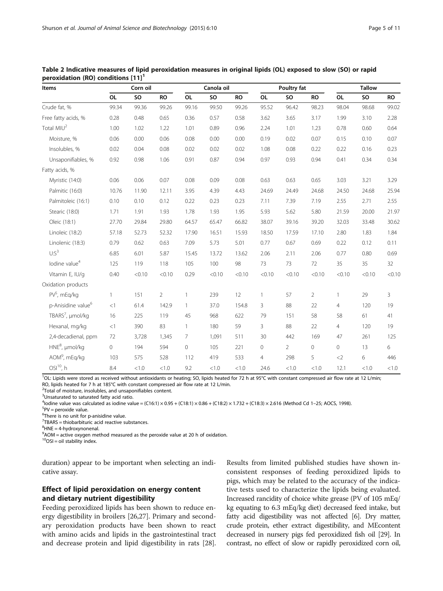| Items                          |           | Corn oil  |                |                                          | Canola oil |           |        | Poultry fat    |                | <b>Tallow</b>  |           |           |  |
|--------------------------------|-----------|-----------|----------------|------------------------------------------|------------|-----------|--------|----------------|----------------|----------------|-----------|-----------|--|
|                                | <b>OL</b> | <b>SO</b> | <b>RO</b>      | $\mathsf{OL}% \left( \mathcal{M}\right)$ | SO         | <b>RO</b> | OL     | SO             | <b>RO</b>      | <b>OL</b>      | <b>SO</b> | <b>RO</b> |  |
| Crude fat, %                   | 99.34     | 99.36     | 99.26          | 99.16                                    | 99.50      | 99.26     | 95.52  | 96.42          | 98.23          | 98.04          | 98.68     | 99.02     |  |
| Free fatty acids, %            | 0.28      | 0.48      | 0.65           | 0.36                                     | 0.57       | 0.58      | 3.62   | 3.65           | 3.17           | 1.99           | 3.10      | 2.28      |  |
| Total MIU <sup>2</sup>         | 1.00      | 1.02      | 1.22           | 1.01                                     | 0.89       | 0.96      | 2.24   | 1.01           | 1.23           | 0.78           | 0.60      | 0.64      |  |
| Moisture, %                    | 0.06      | 0.00      | 0.06           | 0.08                                     | 0.00       | 0.00      | 0.19   | 0.02           | 0.07           | 0.15           | 0.10      | 0.07      |  |
| Insolubles, %                  | 0.02      | 0.04      | 0.08           | 0.02                                     | 0.02       | 0.02      | 1.08   | 0.08           | 0.22           | 0.22           | 0.16      | 0.23      |  |
| Unsaponifiables, %             | 0.92      | 0.98      | 1.06           | 0.91                                     | 0.87       | 0.94      | 0.97   | 0.93           | 0.94           | 0.41           | 0.34      | 0.34      |  |
| Fatty acids, %                 |           |           |                |                                          |            |           |        |                |                |                |           |           |  |
| Myristic (14:0)                | 0.06      | 0.06      | 0.07           | 0.08                                     | 0.09       | 0.08      | 0.63   | 0.63           | 0.65           | 3.03           | 3.21      | 3.29      |  |
| Palmitic (16:0)                | 10.76     | 11.90     | 12.11          | 3.95                                     | 4.39       | 4.43      | 24.69  | 24.49          | 24.68          | 24.50          | 24.68     | 25.94     |  |
| Palmitoleic (16:1)             | 0.10      | 0.10      | 0.12           | 0.22                                     | 0.23       | 0.23      | 7.11   | 7.39           | 7.19           | 2.55           | 2.71      | 2.55      |  |
| Stearic (18:0)                 | 1.71      | 1.91      | 1.93           | 1.78                                     | 1.93       | 1.95      | 5.93   | 5.62           | 5.80           | 21.59          | 20.00     | 21.97     |  |
| Oleic (18:1)                   | 27.70     | 29.84     | 29.80          | 64.57                                    | 65.47      | 66.82     | 38.07  | 39.16          | 39.20          | 32.03          | 33.48     | 30.62     |  |
| Linoleic (18:2)                | 57.18     | 52.73     | 52.32          | 17.90                                    | 16.51      | 15.93     | 18.50  | 17.59          | 17.10          | 2.80           | 1.83      | 1.84      |  |
| Linolenic (18:3)               | 0.79      | 0.62      | 0.63           | 7.09                                     | 5.73       | 5.01      | 0.77   | 0.67           | 0.69           | 0.22           | 0.12      | 0.11      |  |
| $U: S^3$                       | 6.85      | 6.01      | 5.87           | 15.45                                    | 13.72      | 13.62     | 2.06   | 2.11           | 2.06           | 0.77           | 0.80      | 0.69      |  |
| lodine value <sup>4</sup>      | 125       | 119       | 118            | 105                                      | 100        | 98        | 73     | 73             | 72             | 35             | 35        | 32        |  |
| Vitamin E, IU/g                | 0.40      | < 0.10    | < 0.10         | 0.29                                     | < 0.10     | < 0.10    | < 0.10 | < 0.10         | < 0.10         | < 0.10         | < 0.10    | < 0.10    |  |
| Oxidation products             |           |           |                |                                          |            |           |        |                |                |                |           |           |  |
| $PV5$ , mEg/kg                 | 1         | 151       | $\overline{2}$ | 1                                        | 239        | 12        | 1      | 57             | $\overline{2}$ | $\mathbf{1}$   | 29        | 3         |  |
| p-Anisidine value <sup>6</sup> | <1        | 61.4      | 142.9          | $\mathbf{1}$                             | 37.0       | 154.8     | 3      | 88             | 22             | $\overline{4}$ | 120       | 19        |  |
| TBARS <sup>7</sup> , µmol/kg   | 16        | 225       | 119            | 45                                       | 968        | 622       | 79     | 151            | 58             | 58             | 61        | 41        |  |
| Hexanal, mg/kg                 | $<\!1$    | 390       | 83             | $\mathbf{1}$                             | 180        | 59        | 3      | 88             | 22             | 4              | 120       | 19        |  |
| 2,4-decadienal, ppm            | 72        | 3,728     | 1,345          | 7                                        | 1,091      | 511       | 30     | 442            | 169            | 47             | 261       | 125       |  |
| HNE <sup>8</sup> , µmol/kg     | $\circ$   | 194       | 594            | $\circ$                                  | 105        | 221       | 0      | $\overline{2}$ | $\circ$        | 0              | 13        | 6         |  |
| AOM <sup>9</sup> , mEq/kg      | 103       | 575       | 528            | 112                                      | 419        | 533       | 4      | 298            | 5              | $<$ 2          | 6         | 446       |  |
| $OSI^{10}$ , h                 | 8.4       | < 1.0     | < 1.0          | 9.2                                      | < 1.0      | < 1.0     | 24.6   | < 1.0          | < 1.0          | 12.1           | < 1.0     | < 1.0     |  |

<span id="page-4-0"></span>Table 2 Indicative measures of lipid peroxidation measures in original lipids (OL) exposed to slow (SO) or rapid peroxidation (RO) conditions  $[11]$  $[11]$ <sup>1</sup>

<sup>1</sup>OL: Lipids were stored as received without antioxidants or heating; SO, lipids heated for 72 h at 95°C with constant compressed air flow rate at 12 L/min RO, lipids heated for 7 h at 185°C with constant compressed air flow rate at 12 L/min.

<sup>2</sup>Total of moisture, insolubles, and unsaponifiables content.

<sup>3</sup>Unsaturated to saturated fatty acid ratio.

 $^{4}$ lodine value was calculated as iodine value = (C16:1) × 0.95 + (C18:1) × 0.86 + (C18:2) × 1.732 + (C18:3) × 2.616 (Method Cd 1–25; AOCS, 1998).<br><sup>5</sup><sup>DV</sup> = Perexide value

 $P<sup>5</sup>PV =$  peroxide value.

6 There is no unit for p-anisidine value.

 $7$ TBARS = thiobarbituric acid reactive substances.

<sup>8</sup>HNE = 4-hydroxynonenal.

 $9^9$ AOM = active oxygen method measured as the peroxide value at 20 h of oxidation.

 $10$ OSI = oil stability index.

duration) appear to be important when selecting an indicative assay.

# Effect of lipid peroxidation on energy content and dietary nutrient digestibility

Feeding peroxidized lipids has been shown to reduce energy digestibility in broilers [[26,27\]](#page-9-0). Primary and secondary peroxidation products have been shown to react with amino acids and lipids in the gastrointestinal tract and decrease protein and lipid digestibility in rats [\[28](#page-9-0)].

Results from limited published studies have shown inconsistent responses of feeding peroxidized lipids to pigs, which may be related to the accuracy of the indicative tests used to characterize the lipids being evaluated. Increased rancidity of choice white grease (PV of 105 mEq/ kg equating to 6.3 mEq/kg diet) decreased feed intake, but fatty acid digestibility was not affected [\[6\]](#page-9-0). Dry matter, crude protein, ether extract digestibility, and MEcontent decreased in nursery pigs fed peroxidized fish oil [[29](#page-9-0)]. In contrast, no effect of slow or rapidly peroxidized corn oil,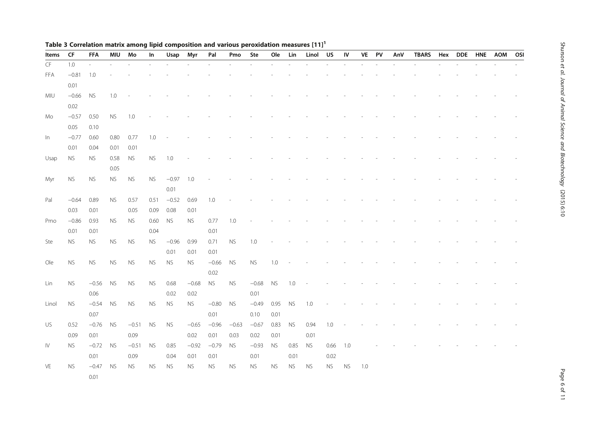| Items         | CF         | <b>FFA</b>               | <b>MIU</b> | Mo        | In        | Usap      | Myr       | Pal       | Pmo       | Ste       | Ole       | Lin       | Linol     | US        | IV        | VE  | PV | AnV | <b>TBARS</b> | Hex | <b>DDE</b> | <b>HNE</b> | <b>AOM</b> | OSI |
|---------------|------------|--------------------------|------------|-----------|-----------|-----------|-----------|-----------|-----------|-----------|-----------|-----------|-----------|-----------|-----------|-----|----|-----|--------------|-----|------------|------------|------------|-----|
| $\mathsf{CF}$ | 1.0        | $\overline{\phantom{a}}$ |            |           |           |           |           |           |           |           |           |           |           |           |           |     |    |     |              |     |            |            |            |     |
| FFA           | $-0.81$    | 1.0                      |            |           |           |           |           |           |           |           |           |           |           |           |           |     |    |     |              |     |            |            |            |     |
|               | 0.01       |                          |            |           |           |           |           |           |           |           |           |           |           |           |           |     |    |     |              |     |            |            |            |     |
| <b>MIU</b>    | $-0.66$    | <b>NS</b>                | 1.0        |           |           |           |           |           |           |           |           |           |           |           |           |     |    |     |              |     |            |            |            |     |
|               | 0.02       |                          |            |           |           |           |           |           |           |           |           |           |           |           |           |     |    |     |              |     |            |            |            |     |
| Mo            | $-0.57$    | 0.50                     | <b>NS</b>  | 1.0       |           |           |           |           |           |           |           |           |           |           |           |     |    |     |              |     |            |            |            |     |
|               | 0.05       | 0.10                     |            |           |           |           |           |           |           |           |           |           |           |           |           |     |    |     |              |     |            |            |            |     |
| In            | $-0.77$    | 0.60                     | 0.80       | 0.77      | 1.0       |           |           |           |           |           |           |           |           |           |           |     |    |     |              |     |            |            |            |     |
|               | 0.01       | 0.04                     | 0.01       | 0.01      |           |           |           |           |           |           |           |           |           |           |           |     |    |     |              |     |            |            |            |     |
| Usap          | <b>NS</b>  | <b>NS</b>                | 0.58       | <b>NS</b> | <b>NS</b> | 1.0       |           |           |           |           |           |           |           |           |           |     |    |     |              |     |            |            |            |     |
|               |            |                          | 0.05       |           |           |           |           |           |           |           |           |           |           |           |           |     |    |     |              |     |            |            |            |     |
| Myr           | ${\sf NS}$ | <b>NS</b>                | <b>NS</b>  | <b>NS</b> | <b>NS</b> | $-0.97$   | 1.0       |           |           |           |           |           |           |           |           |     |    |     |              |     |            |            |            |     |
|               |            |                          |            |           |           | 0.01      |           |           |           |           |           |           |           |           |           |     |    |     |              |     |            |            |            |     |
| Pal           | $-0.64$    | 0.89                     | <b>NS</b>  | 0.57      | 0.51      | $-0.52$   | 0.69      | 1.0       |           |           |           |           |           |           |           |     |    |     |              |     |            |            |            |     |
|               | 0.03       | 0.01                     |            | 0.05      | 0.09      | 0.08      | 0.01      |           |           |           |           |           |           |           |           |     |    |     |              |     |            |            |            |     |
| Pmo           | $-0.86$    | 0.93                     | NS.        | <b>NS</b> | 0.60      | <b>NS</b> | <b>NS</b> | 0.77      | 1.0       |           |           |           |           |           |           |     |    |     |              |     |            |            |            |     |
|               | 0.01       | 0.01                     |            |           | 0.04      |           |           | 0.01      |           |           |           |           |           |           |           |     |    |     |              |     |            |            |            |     |
| Ste           | <b>NS</b>  | <b>NS</b>                | <b>NS</b>  | <b>NS</b> | <b>NS</b> | $-0.96$   | 0.99      | 0.71      | <b>NS</b> | 1.0       |           |           |           |           |           |     |    |     |              |     |            |            |            |     |
|               |            |                          |            |           |           | 0.01      | 0.01      | 0.01      |           |           |           |           |           |           |           |     |    |     |              |     |            |            |            |     |
| Ole           | <b>NS</b>  | <b>NS</b>                | <b>NS</b>  | <b>NS</b> | <b>NS</b> | <b>NS</b> | <b>NS</b> | $-0.66$   | <b>NS</b> | <b>NS</b> | 1.0       |           |           |           |           |     |    |     |              |     |            |            |            |     |
|               |            |                          |            |           |           |           |           | 0.02      |           |           |           |           |           |           |           |     |    |     |              |     |            |            |            |     |
| Lin           | <b>NS</b>  | $-0.56$                  | <b>NS</b>  | <b>NS</b> | NS.       | 0.68      | $-0.68$   | <b>NS</b> | <b>NS</b> | $-0.68$   | <b>NS</b> | 1.0       |           |           |           |     |    |     |              |     |            |            |            |     |
|               |            | 0.06                     |            |           |           | 0.02      | 0.02      |           |           | 0.01      |           |           |           |           |           |     |    |     |              |     |            |            |            |     |
| Linol         | <b>NS</b>  | $-0.54$ NS               |            | <b>NS</b> | <b>NS</b> | <b>NS</b> | <b>NS</b> | $-0.80$   | <b>NS</b> | $-0.49$   | 0.95      | <b>NS</b> | 1.0       |           |           |     |    |     |              |     |            |            |            |     |
|               |            | 0.07                     |            |           |           |           |           | 0.01      |           | 0.10      | 0.01      |           |           |           |           |     |    |     |              |     |            |            |            |     |
| US            | 0.52       | $-0.76$                  | <b>NS</b>  | $-0.51$   | <b>NS</b> | <b>NS</b> | $-0.65$   | $-0.96$   | $-0.63$   | $-0.67$   | 0.83      | <b>NS</b> | 0.94      | 1.0       |           |     |    |     |              |     |            |            |            |     |
|               | 0.09       | 0.01                     |            | 0.09      |           |           | 0.02      | 0.01      | 0.03      | 0.02      | 0.01      |           | 0.01      |           |           |     |    |     |              |     |            |            |            |     |
| IV            | <b>NS</b>  | $-0.72$ NS               |            | $-0.51$   | <b>NS</b> | 0.85      | $-0.92$   | $-0.79$   | <b>NS</b> | $-0.93$   | <b>NS</b> | 0.85      | <b>NS</b> | 0.66      | 1.0       |     |    |     |              |     |            |            |            |     |
|               |            | 0.01                     |            | 0.09      |           | 0.04      | 0.01      | 0.01      |           | 0.01      |           | 0.01      |           | 0.02      |           |     |    |     |              |     |            |            |            |     |
| VE            | <b>NS</b>  | $-0.47$                  | <b>NS</b>  | <b>NS</b> | <b>NS</b> | <b>NS</b> | <b>NS</b> | <b>NS</b> | <b>NS</b> | <b>NS</b> | <b>NS</b> | <b>NS</b> | <b>NS</b> | <b>NS</b> | <b>NS</b> | 1.0 |    |     |              |     |            |            |            |     |
|               |            | 0.01                     |            |           |           |           |           |           |           |           |           |           |           |           |           |     |    |     |              |     |            |            |            |     |

<span id="page-5-0"></span>Table 3 Correlation matrix among lipid composition and various peroxidation measures  $[11]$  $[11]$  $[11]$ <sup>1</sup>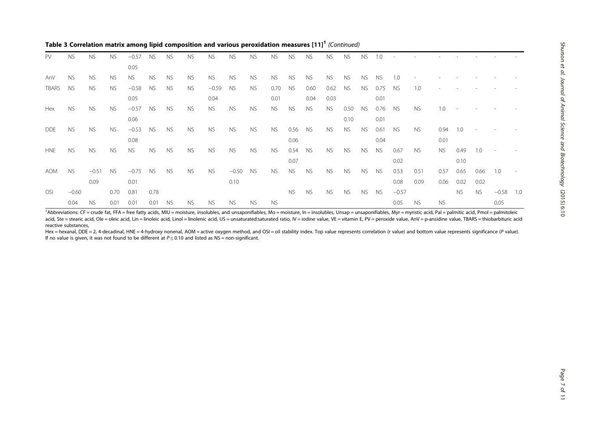| <b>PV</b>  | NS.       | <b>NS</b> | NS.       | $-0.57$   | <b>NS</b> | <b>NS</b> | <b>NS</b> | <b>NS</b> | <b>NS</b> | <b>NS</b> | <b>NS</b> | <b>NS</b> | <b>NS</b> | NS.       | <b>NS</b> | <b>NS</b> | 1.0       |           |           |           |           |           |         |        |
|------------|-----------|-----------|-----------|-----------|-----------|-----------|-----------|-----------|-----------|-----------|-----------|-----------|-----------|-----------|-----------|-----------|-----------|-----------|-----------|-----------|-----------|-----------|---------|--------|
|            |           |           |           | 0.05      |           |           |           |           |           |           |           |           |           |           |           |           |           |           |           |           |           |           |         |        |
| AnV        | NS.       | NS.       | NS.       | NS.       | <b>NS</b> | <b>NS</b> | <b>NS</b> | <b>NS</b> | <b>NS</b> | <b>NS</b> | <b>NS</b> | <b>NS</b> | <b>NS</b> | NS.       | <b>NS</b> | <b>NS</b> | NS.       | 1.0       |           |           |           |           |         |        |
| TBARS      | <b>NS</b> | NS.       | NS.       | $-0.58$   | <b>NS</b> | <b>NS</b> | <b>NS</b> | $-0.59$   | <b>NS</b> | NS.       | 0.70      | <b>NS</b> | 0.60      | 0.62      | <b>NS</b> | NS.       | 0.75      | <b>NS</b> | 1.0       |           |           |           |         |        |
|            |           |           |           | 0.05      |           |           |           | 0.04      |           |           | 0.01      |           | 0.04      | 0.03      |           |           | 0.01      |           |           |           |           |           |         |        |
| Hex        | <b>NS</b> | NS.       | NS.       | $-0.57$   | <b>NS</b> | <b>NS</b> | <b>NS</b> | <b>NS</b> | <b>NS</b> | <b>NS</b> | <b>NS</b> | <b>NS</b> | <b>NS</b> | <b>NS</b> | 0.50      | <b>NS</b> | 0.76      | <b>NS</b> | <b>NS</b> | 1.0       |           |           |         |        |
|            |           |           |           | 0.06      |           |           |           |           |           |           |           |           |           |           | 0.10      |           | 0.01      |           |           |           |           |           |         |        |
| <b>DDE</b> | <b>NS</b> | NS.       | <b>NS</b> | $-0.53$   | <b>NS</b> | <b>NS</b> | <b>NS</b> | <b>NS</b> | <b>NS</b> | <b>NS</b> | <b>NS</b> | 0.56      | <b>NS</b> | <b>NS</b> | <b>NS</b> | <b>NS</b> | 0.61      | <b>NS</b> | <b>NS</b> | 0.94      | 1.0       |           |         |        |
|            |           |           |           | 0.08      |           |           |           |           |           |           |           | 0.06      |           |           |           |           | 0.04      |           |           | 0.01      |           |           |         |        |
| <b>HNE</b> | <b>NS</b> | NS.       | <b>NS</b> | <b>NS</b> | <b>NS</b> | <b>NS</b> | <b>NS</b> | <b>NS</b> | <b>NS</b> | <b>NS</b> | <b>NS</b> | 0.54      | <b>NS</b> | <b>NS</b> | <b>NS</b> | NS.       | <b>NS</b> | 0.67      | <b>NS</b> | <b>NS</b> | 0.49      | 1.0       |         |        |
|            |           |           |           |           |           |           |           |           |           |           |           | 0.07      |           |           |           |           |           | 0.02      |           |           | 0.10      |           |         |        |
| AOM        | <b>NS</b> | $-0.51$   | <b>NS</b> | $-0.75$   | <b>NS</b> | <b>NS</b> | <b>NS</b> | NS.       | $-0.50$   | <b>NS</b> | <b>NS</b> | <b>NS</b> | <b>NS</b> | <b>NS</b> | <b>NS</b> | NS.       | <b>NS</b> | 0.53      | 0.51      | 0.57      | 0.65      | 0.66      | 1.0     | $\sim$ |
|            |           | 0.09      |           | 0.01      |           |           |           |           | 0.10      |           |           |           |           |           |           |           |           | 0.08      | 0.09      | 0.06      | 0.02      | 0.02      |         |        |
| <b>OSI</b> | $-0.60$   |           | 0.70      | 0.81      | 0.78      |           |           |           |           |           |           | NS.       | <b>NS</b> | <b>NS</b> | <b>NS</b> |           | NS NS     | $-0.57$   |           |           | <b>NS</b> | <b>NS</b> | $-0.58$ | $-1.0$ |
|            | 0.04      | <b>NS</b> | 0.01      | 0.01      | 0.01      | <b>NS</b> | NS.       | <b>NS</b> | <b>NS</b> | NS.       | NS.       |           |           |           |           |           |           | 0.05      | <b>NS</b> | <b>NS</b> |           |           | 0.05    |        |

Table 3 Correlation matrix among lipid composition and various peroxidation measures [[11](#page-8-0)]<sup>1</sup> (Continued)

<sup>1</sup>Abbreviations: CF = crude fat, FFA = free fatty acids, MIU = moisture, insolubles, and unsaponifiables, Mo = moisture, In = insolubles, Unsap = unsaponifiables, Myr = myristic acid, Pal = palmitic acid, Pmol = palmitic acid, Ste = stearic acid, Ole = oleic acid, Lin = linoleic acid, Linol = linolenic acid, US = unsaturated:saturated ratio, IV = iodine value, VE = vitamin E, PV = peroxide value, AnV = p-ansidine value, TBARS = thiobarbitu reactive substances,

Hex = hexanal, DDE = 2, 4-decadinal, HNE = 4-hydroxy nonenal, AOM = active oxygen method, and OSI = oil stability index. Top value represents correlation (r value) and bottom value represents significance (P value). If no value is given, it was not found to be different at  $P \le 0.10$  and listed as NS = non-significant.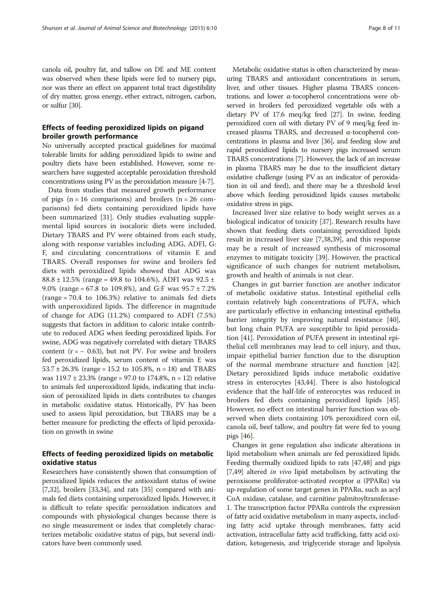canola oil, poultry fat, and tallow on DE and ME content was observed when these lipids were fed to nursery pigs, nor was there an effect on apparent total tract digestibility of dry matter, gross energy, ether extract, nitrogen, carbon, or sulfur [[30](#page-9-0)].

## Effects of feeding peroxidized lipids on pigand broiler growth performance

No universally accepted practical guidelines for maximal tolerable limits for adding peroxidized lipids to swine and poultry diets have been established. However, some researchers have suggested acceptable peroxidation threshold concentrations using PV as the peroxidation measure [[4](#page-9-0)-[7\]](#page-9-0).

Data from studies that measured growth performance of pigs ( $n = 16$  comparisons) and broilers ( $n = 26$  comparisons) fed diets containing peroxidized lipids have been summarized [[31\]](#page-9-0). Only studies evaluating supplemental lipid sources in isocaloric diets were included. Dietary TBARS and PV were obtained from each study, along with response variables including ADG, ADFI, G: F, and circulating concentrations of vitamin E and TBARS. Overall responses for swine and broilers fed diets with peroxidized lipids showed that ADG was 88.8  $\pm$  12.5% (range = 49.8 to 104.6%), ADFI was 92.5  $\pm$ 9.0% (range = 67.8 to 109.8%), and G:F was 95.7 ± 7.2% (range = 70.4 to 106.3%) relative to animals fed diets with unperoxidized lipids. The difference in magnitude of change for ADG (11.2%) compared to ADFI (7.5%) suggests that factors in addition to caloric intake contribute to reduced ADG when feeding peroxidized lipids. For swine, ADG was negatively correlated with dietary TBARS content ( $r = -0.63$ ), but not PV. For swine and broilers fed peroxidized lipids, serum content of vitamin E was  $53.7 \pm 26.3\%$  (range = 15.2 to 105.8%, n = 18) and TBARS was  $119.7 \pm 23.3\%$  (range = 97.0 to 174.8%, n = 12) relative to animals fed unperoxidized lipids, indicating that inclusion of peroxidized lipids in diets contributes to changes in metabolic oxidative status. Historically, PV has been used to assess lipid peroxidation, but TBARS may be a better measure for predicting the effects of lipid peroxidation on growth in swine

# Effects of feeding peroxidized lipids on metabolic oxidative status

Researchers have consistently shown that consumption of peroxidized lipids reduces the antioxidant status of swine [[7,32](#page-9-0)], broilers [\[33,34\]](#page-9-0), and rats [\[35\]](#page-9-0) compared with animals fed diets containing unperoxidized lipids. However, it is difficult to relate specific peroxidation indicators and compounds with physiological changes because there is no single measurement or index that completely characterizes metabolic oxidative status of pigs, but several indicators have been commonly used.

Metabolic oxidative status is often characterized by measuring TBARS and antioxidant concentrations in serum, liver, and other tissues. Higher plasma TBARS concentrations, and lower α-tocopherol concentrations were observed in broilers fed peroxidized vegetable oils with a dietary PV of 17.6 meq/kg feed [[27](#page-9-0)]. In swine, feeding peroxidized corn oil with dietary PV of 9 meq/kg feed increased plasma TBARS, and decreased α-tocopherol concentrations in plasma and liver [\[36\]](#page-9-0), and feeding slow and rapid peroxidized lipids to nursery pigs increased serum TBARS concentrations [\[7\]](#page-9-0). However, the lack of an increase in plasma TBARS may be due to the insufficient dietary oxidative challenge (using PV as an indicator of peroxidation in oil and feed), and there may be a threshold level above which feeding peroxidized lipids causes metabolic oxidative stress in pigs.

Increased liver size relative to body weight serves as a biological indicator of toxicity [\[37\]](#page-9-0). Research results have shown that feeding diets containing peroxidized lipids result in increased liver size [[7,38,39\]](#page-9-0), and this response may be a result of increased synthesis of microsomal enzymes to mitigate toxicity [[39\]](#page-9-0). However, the practical significance of such changes for nutrient metabolism, growth and health of animals is not clear.

Changes in gut barrier function are another indicator of metabolic oxidative status. Intestinal epithelial cells contain relatively high concentrations of PUFA, which are particularly effective in enhancing intestinal epithelia barrier integrity by improving natural resistance [\[40](#page-9-0)], but long chain PUFA are susceptible to lipid peroxidation [\[41\]](#page-9-0). Peroxidation of PUFA present in intestinal epithelial cell membranes may lead to cell injury, and thus, impair epithelial barrier function due to the disruption of the normal membrane structure and function [\[42](#page-9-0)]. Dietary peroxidized lipids induce metabolic oxidative stress in enterocytes [\[43,44](#page-9-0)]. There is also histological evidence that the half-life of enterocytes was reduced in broilers fed diets containing peroxidized lipids [\[45](#page-9-0)]. However, no effect on intestinal barrier function was observed when diets containing 10% peroxidized corn oil, canola oil, beef tallow, and poultry fat were fed to young pigs [\[46\]](#page-9-0).

Changes in gene regulation also indicate alterations in lipid metabolism when animals are fed peroxidized lipids. Feeding thermally oxidized lipids to rats [\[47,48](#page-9-0)] and pigs [[7,49](#page-9-0)] altered *in vivo* lipid metabolism by activating the peroxisome proliferator-activated receptor α (PPARα) via up-regulation of some target genes in PPARα, such as acyl CoA oxidase, catalase, and carnitine palmitoyltransferase-1. The transcription factor PPARα controls the expression of fatty acid oxidative metabolism in many aspects, including fatty acid uptake through membranes, fatty acid activation, intracellular fatty acid trafficking, fatty acid oxidation, ketogenesis, and triglyceride storage and lipolysis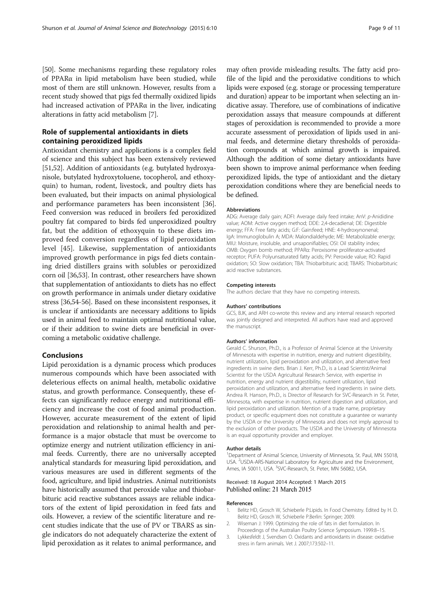<span id="page-8-0"></span>[[50](#page-9-0)]. Some mechanisms regarding these regulatory roles of PPARα in lipid metabolism have been studied, while most of them are still unknown. However, results from a recent study showed that pigs fed thermally oxidized lipids had increased activation of PPARα in the liver, indicating alterations in fatty acid metabolism [[7\]](#page-9-0).

# Role of supplemental antioxidants in diets containing peroxidized lipids

Antioxidant chemistry and applications is a complex field of science and this subject has been extensively reviewed [[51,52](#page-9-0)]. Addition of antioxidants (e.g. butylated hydroxyanisole, butylated hydroxytoluene, tocopherol, and ethoxyquin) to human, rodent, livestock, and poultry diets has been evaluated, but their impacts on animal physiological and performance parameters has been inconsistent [[36](#page-9-0)]. Feed conversion was reduced in broilers fed peroxidized poultry fat compared to birds fed unperoxidized poultry fat, but the addition of ethoxyquin to these diets improved feed conversion regardless of lipid peroxidation level [[45\]](#page-9-0). Likewise, supplementation of antioxidants improved growth performance in pigs fed diets containing dried distillers grains with solubles or peroxidized corn oil [[36,53\]](#page-9-0). In contrast, other researchers have shown that supplementation of antioxidants to diets has no effect on growth performance in animals under dietary oxidative stress [[36,54](#page-9-0)-[56](#page-10-0)]. Based on these inconsistent responses, it is unclear if antioxidants are necessary additions to lipids used in animal feed to maintain optimal nutritional value, or if their addition to swine diets are beneficial in overcoming a metabolic oxidative challenge.

# Conclusions

Lipid peroxidation is a dynamic process which produces numerous compounds which have been associated with deleterious effects on animal health, metabolic oxidative status, and growth performance. Consequently, these effects can significantly reduce energy and nutritional efficiency and increase the cost of food animal production. However, accurate measurement of the extent of lipid peroxidation and relationship to animal health and performance is a major obstacle that must be overcome to optimize energy and nutrient utilization efficiency in animal feeds. Currently, there are no universally accepted analytical standards for measuring lipid peroxidation, and various measures are used in different segments of the food, agriculture, and lipid industries. Animal nutritionists have historically assumed that peroxide value and thiobarbituric acid reactive substances assays are reliable indicators of the extent of lipid peroxidation in feed fats and oils. However, a review of the scientific literature and recent studies indicate that the use of PV or TBARS as single indicators do not adequately characterize the extent of lipid peroxidation as it relates to animal performance, and

may often provide misleading results. The fatty acid profile of the lipid and the peroxidative conditions to which lipids were exposed (e.g. storage or processing temperature and duration) appear to be important when selecting an indicative assay. Therefore, use of combinations of indicative peroxidation assays that measure compounds at different stages of peroxidation is recommended to provide a more accurate assessment of peroxidation of lipids used in animal feeds, and determine dietary thresholds of peroxidation compounds at which animal growth is impaired. Although the addition of some dietary antioxidants have been shown to improve animal performance when feeding peroxidized lipids, the type of antioxidant and the dietary peroxidation conditions where they are beneficial needs to be defined.

#### Abbreviations

ADG: Average daily gain; ADFI: Average daily feed intake; AnV: p-Anididine value; AOM: Active oxygen method; DDE: 2,4-decadienal; DE: Digestible energy; FFA: Free fatty acids; G:F: Gain:feed; HNE: 4-hydroxynonenal; IgA: Immunoglobulin A; MDA: Malondialdehyde; ME: Metabolizable energy; MIU: Moisture, insoluble, and unsaponifiables; OSI: Oil stability index; OMB: Oxygen bomb method; PPARα: Peroxisome proliferator-activated receptor; PUFA: Polyunsaturated fatty acids; PV: Peroxide value; RO: Rapid oxidation; SO: Slow oxidation; TBA: Thiobarbituric acid; TBARS: Thiobarbituric acid reactive substances.

#### Competing interests

The authors declare that they have no competing interests.

#### Authors' contributions

GCS, BJK, and ARH co-wrote this review and any internal research reported was jointly designed and interpreted. All authors have read and approved the manuscript.

#### Authors' information

Gerald C. Shurson, Ph.D., is a Professor of Animal Science at the University of Minnesota with expertise in nutrition, energy and nutrient digestibility, nutrient utilization, lipid peroxidation and utilization, and alternative feed ingredients in swine diets. Brian J. Kerr, Ph.D., is a Lead Scientist/Animal Scientist for the USDA Agricultural Research Service, with expertise in nutrition, energy and nutrient digestibility, nutrient utilization, lipid peroxidation and utilization, and alternative feed ingredients in swine diets. Andrea R. Hanson, Ph.D., is Director of Research for SVC-Research in St. Peter, Minnesota, with expertise in nutrition, nutrient digestion and utilization, and lipid peroxidation and utilization. Mention of a trade name, proprietary product, or specific equipment does not constitute a guarantee or warranty by the USDA or the University of Minnesota and does not imply approval to the exclusion of other products. The USDA and the University of Minnesota is an equal opportunity provider and employer.

#### Author details

<sup>1</sup>Department of Animal Science, University of Minnesota, St. Paul, MN 55018 USA. <sup>2</sup>USDA-ARS-National Laboratory for Agriculture and the Environment, Ames, IA 50011, USA. <sup>3</sup>SVC-Research, St. Peter, MN 56082, USA.

#### Received: 18 August 2014 Accepted: 1 March 2015 Published online: 21 March 2015

#### References

- 1. Belitz HD, Grosch W, Schieberle P:Lipids. In Food Chemistry. Edited by H. D. Belitz HD, Grosch W, Schieberle P.Berlin: Springer; 2009.
- 2. Wiseman J: 1999. Optimizing the role of fats in diet formulation. In Proceedings of the Australian Poultry Science Symposium. 1999:8–15.
- 3. Lykkesfeldt J, Svendsen O. Oxidants and antioxidants in disease: oxidative stress in farm animals. Vet J. 2007;173:502–11.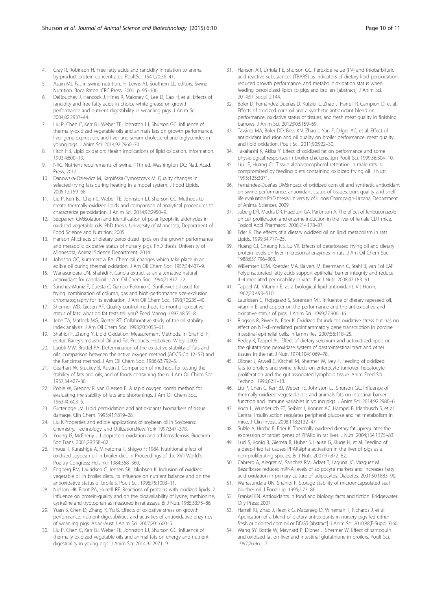- <span id="page-9-0"></span>4. Gray R, Robinson H. Free fatty acids and rancidity in relation to animal by-product protein concentrates. PoultSci. 1941;20:36–41.
- 5. Azain MJ. Fat in swine nutrition. In: Lewis AJ, Southern LL, editors. Swine Nutrition. Boca Raton: CRC Press; 2001. p. 95–106.
- 6. DeRouchey J, Hancock J, Hines R, Maloney C, Lee D, Cao H, et al. Effects of rancidity and free fatty acids in choice white grease on growth performance and nutrient digestibility in weanling pigs. J Anim Sci. 2004;82:2937–44.
- 7. Liu P, Chen C, Kerr BJ, Weber TE, Johnston LJ, Shurson GC. Influence of thermally-oxidized vegetable oils and animals fats on growth performance, liver gene expression, and liver and serum cholesterol and triglycerides in young pigs. J Anim Sci. 2014;92:2960–70.
- 8. Fitch HB. Lipid oxidation: Health implications of lipid oxidation. Information. 1993;4:800–19.
- 9. NRC. Nutrient requirements of swine. 11th ed. Washington DC: Natl. Acad. Press; 2012.
- 10. Danowska‐Oziewicz M, Karpińska‐Tymoszczyk M. Quality changes in selected frying fats during heating in a model system. J Food Lipids. 2005;12:159–68.
- 11. Liu P, Kerr BJ, Chen C, Weber TE, Johnston LJ, Shurson GC. Methods to create thermally-oxidized lipids and comparison of analytical procedures to characterize peroxidation. J Anim Sci. 2014;92:2950–9.
- 12. Seppanen CM:Isolation and identification of polar lipophilic aldehydes in oxidized vegetable oils. PhD thesis. University of Minnesota, Department of Food Science and Nutrition; 2005.
- 13. Hanson AR:Effects of dietary peroxidized lipids on the growth performance and metabolic oxidative status of nursery pigs. PhD thesis. University of Minnesota, Animal Science Department; 2014.
- 14. Johnson OC, Kummerow FA. Chemical changes which take place in an edible oil during thermal oxidation. J Am Oil Chem Soc. 1957;34:407–9.
- 15. Wanasundara UN, Shahidi F. Canola extract as an alternative natural antioxidant for canola oil. J Am Oil Chem Soc. 1994;71:817–22.
- 16. Sánchez-Muniz F, Cuesta C, Garrido-Polonio C. Sunflower oil used for frying: combination of column, gas and high-performance size-exclusion chromatography for its evaluation. J Am Oil Chem Soc. 1993;70:235–40.
- 17. Shermer WD, Giesen AF. Quality control methods to montior oxidative status of fats: what do fat tests tell you? Feed Manag. 1997;48:55–8.
- 18. Jebe TA, Matlock MG, Sleeter RT. Collaborative study of the oil stability index analysis. J Am Oil Chem Soc. 1993;70:1055–61.
- 19. Shahidi F, Zhong Y. Lipid Oxidation: Measurement Methods. In: Shahidi F, editor. Bailey's Industrial Oil and Fat Products. Hoboken: Wiley; 2005.
- 20. Läubli MW, Bruttel PA. Determination of the oxidative stability of fats and oils: comparison between the active oxygen method (AOCS Cd 12–57) and the Rancimat method. J Am Oil Chem Soc. 1986;63:792–5.
- 21. Gearhart W, Stuckey B, Austin J. Comparison of methods for testing the stability of fats and oils, and of foods containing them. J Am Oil Chem Soc. 1957;34:427–30.
- 22. Pohle W, Gregory R, van Giessen B. A rapid oxygen bomb method for evaluating the stability of fats and shortenings. J Am Oil Chem Soc. 1963;40:603–5.
- 23. Gutteridge JM. Lipid peroxidation and antioxidants biomarkers of tissue damage. Clin Chem. 1995;41:1819–28.
- 24. Liu K:Properties and edible applications of soybean oil.In Soybeans: Chemistry, Technology, and Utilization.New York 1997:347–378.
- 25. Young IS, McEneny J. Lipoprotein oxidation and athlerosclerosis. Biochem Soc Trans. 2001;29:358–62.
- 26. Inoue T, Kurashige A, Minetoma T, Shigyo F: 1984. Nutritional effect of oxidized soybean oil in broiler diet. In Proceedings of the XVII World's Poultry Congress: Helsinki; 1984:368–369.
- 27. Engberg RM, Lauridsen C, Jensen SK, Jakobsen K. Inclusion of oxidized vegetable oil in broiler diets. Its influence on nutrient balance and on the antioxidative status of broilers. Poult Sci. 1996;75:1003–11.
- 28. Nielson HK, Finot PA, Hurrell RF. Reactions of proteins with oxidized lipids. 2. Influence on protein-quality and on the bioavailability of lysine, methionine, cyst(e)ine and tryptophan as measured in rat assays. Br J Nutr. 1985;53:75–86.
- 29. Yuan S, Chen D, Zhang K, Yu B. Effects of oxidative stress on growth performance, nutrient digestibilities and activities of antioxidative enzymes of weanling pigs. Asian-Aust J Anim Sci. 2007;20:1600–5.
- 30. Liu P, Chen C, Kerr BJ, Weber TE, Johnston LJ, Shurson GC. Influence of thermally-oxidized vegetable oils and animal fats on energy and nutrient digestibility in young pigs. J Anim Sci. 2014;92:2971–9.
- 31. Hanson AR, Urriola PE, Shurson GC. Peroxide value (PV) and thiobarbituric acid reactive substaances (TBARS) as indicators of dietary lipid peroxidation, reduced growth performance, and metabolic oxidation status when feeding peroxidized lipids to pigs and broilers [abstract]. J Anim Sci. 2014;91 Suppl 2:144.
- 32. Boler D, Fernández-Dueñas D, Kutzler L, Zhao J, Harrell R, Campion D, et al. Effects of oxidized corn oil and a synthetic antioxidant blend on performance, oxidative status of tissues, and fresh meat quality in finishing barrows. J Anim Sci. 2012;90:5159–69.
- 33. Tavárez MA, Boler DD, Bess KN, Zhao J, Yan F, Dilger AC, et al. Effect of antioxidant inclusion and oil quality on broiler performance, meat quality, and lipid oxidation. Poult Sci. 2011;90:922–30.
- 34. Takahashi K, Akiba Y. Effect of oxidized fat on performance and some physiological responses in broiler chickens. Jpn Poult Sci. 1999;36:304–10.
- 35. Liu JF, Huang CJ. Tissue alpha-tocopherol retention in male rats is compromised by feeding diets containing oxidized frying oil. J Nutr. 1995;125:3071.
- 36. Fernández-Dueñas DM:Impact of oxidized corn oil and synthetic antioxidant on swine performance, antioxidant status of tissues, pork quality and shelf life evaluation.PhD thesis.University of Illinois Champaign-Urbana, Department of Animal Sciences; 2009.
- 37. Juberg DR, Mudra DR, Hazelton GA, Parkinson A. The effect of fenbuconazole on cell proliferation and enzyme induction in the liver of female CD1 mice. Toxicol Appl Pharmacol. 2006;214:178–87.
- 38. Eder K. The effects of a dietary oxidized oil on lipid metabolism in rats. Lipids. 1999;34:717–25.
- 39. Huang CJ, Cheung NS, Lu VR. Effects of deteriorated frying oil and dietary protein levels on liver microsomal enzymes in rats. J Am Oil Chem Soc. 1988;65:1796–803.
- 40. Willemsen LEM, Koetsier MA, Balvers M, Beermann C, Stahl B, van Tol EAF. Polyunsaturated fatty acids support epithelial barrier integrity and reduce IL-4 mediated permeability in vitro. Eur J Nutr. 2008;47:183–91.
- 41. Tappel AL. Vitamin E, as a biological lipid antioxidant. Vit Horm. 1962;20:493–510.
- 42. Lauridsen C, Hojsgaard S, Sorensen MT. Influence of dietary rapeseed oil, vitamin E, and copper on the performance and the antioxidative and oxidative status of pigs. J Anim Sci. 1999;77:906–16.
- 43. Ringseis R, Piwek N, Eder K. Oxidized fat induces oxidative stress but has no effect on NF-κB-mediated proinflammatory gene transcription in porcine intestinal epithelial cells. Inflamm Res. 2007;56:118–25.
- 44. Reddy K, Tappel AL. Effect of dietary selenium and autoxidized lipids on the glutathione peroxidase system of gastrointestinal tract and other tissues in the rat. J Nutr. 1974;104:1069–78.
- 45. Dibner J, Atwell C, Kitchell M, Shermer W, Ivey F. Feeding of oxidized fats to broilers and swine: effects on enterocyte turnover, hepatocyte proliferation and the gut associated lymphoid tissue. Anim Feed Sci Technol. 1996;62:1–13.
- 46. Liu P, Chen C, Kerr BJ, Weber TE, Johnston LJ, Shurson GC. Influence of thermally-oxidized vegetable oils and animals fats on intestinal barrier function and immune variables in young pigs. J Anim Sci. 2014;92:2980–6.
- 47. Koch L, Wunderlich FT, Seibler J, Konner AC, Hampel B, Irlenbusch S, et al. Central insulin action regulates peripheral glucose and fat metabolism in mice. J Clin Invest. 2008;118:2132–47.
- 48. Sulzle A, Hirche F, Eder K. Thermally oxidized dietary fat upregulates the expression of target genes of PPARα in rat liver. J Nutr. 2004;134:1375–83.
- 49. Luci S, Konig B, Giemsa B, Huber S, Hause G, Kluge H, et al. Feeding of a deep-fried fat causes PPARalpha activation in the liver of pigs as a non-proliferating species. Br J Nutr. 2007;97:872–82.
- 50. Cabrero A, Alegret M, Sanchez RM, Adzet T, Laguna JC, Vazquez M. Bezafibrate reduces mRNA levels of adipocyte markers and increases fatty acid oxidation in primary culture of adipocytes. Diabetes. 2001;50:1883–90.
- 51. Wanasundara UN, Shahidi F. Storage stability of microencapsulated seal blubber oil. J Food Lip. 1995;2:73–86.
- 52. Frankel EN. Antioxidants in food and biology: facts and fiction. Bridgewater: Oily Press; 2007.
- 53. Harrell RJ, Zhao J, Reznik G, Macaraeg D, Wineman T, Richards J, et al. Application of a blend of dietary antioxidants in nursery pigs fed either fresh or oxidized corn oil or DDGS [abstract]. J Anim Sci. 2010;88(E-Suppl 3):60.
- 54. Wang SY, Bottje W, Maynard P, Dibner J, Shermer W. Effect of santoquin and oxidized fat on liver and intestinal glutathione in broilers. Poult Sci. 1997;76:961–7.